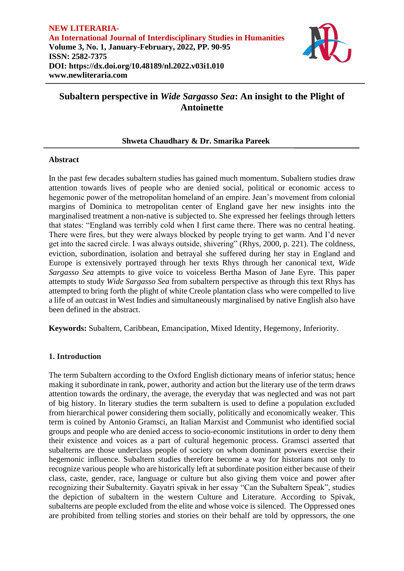

# **Subaltern perspective in** *Wide Sargasso Sea***: An insight to the Plight of Antoinette**

# **Shweta Chaudhary & Dr. Smarika Pareek**

### **Abstract**

In the past few decades subaltern studies has gained much momentum. Subaltern studies draw attention towards lives of people who are denied social, political or economic access to hegemonic power of the metropolitan homeland of an empire. Jean's movement from colonial margins of Dominica to metropolitan center of England gave her new insights into the marginalised treatment a non-native is subjected to. She expressed her feelings through letters that states: "England was terribly cold when I first came there. There was no central heating. There were fires, but they were always blocked by people trying to get warm. And I'd never get into the sacred circle. I was always outside, shivering" (Rhys, 2000, p. 221). The coldness, eviction, subordination, isolation and betrayal she suffered during her stay in England and Europe is extensively portrayed through her texts Rhys through her canonical text, *Wide Sargasso Sea* attempts to give voice to voiceless Bertha Mason of Jane Eyre. This paper attempts to study *Wide Sargasso Sea* from subaltern perspective as through this text Rhys has attempted to bring forth the plight of white Creole plantation class who were compelled to live a life of an outcast in West Indies and simultaneously marginalised by native English also have been defined in the abstract.

**Keywords:** Subaltern, Caribbean, Emancipation, Mixed Identity, Hegemony, Inferiority.

# **1. Introduction**

The term Subaltern according to the Oxford English dictionary means of inferior status; hence making it subordinate in rank, power, authority and action but the literary use of the term draws attention towards the ordinary, the average, the everyday that was neglected and was not part of big history. In literary studies the term subaltern is used to define a population excluded from hierarchical power considering them socially, politically and economically weaker. This term is coined by Antonio Gramsci, an Italian Marxist and Communist who identified social groups and people who are denied access to socio-economic institutions in order to deny them their existence and voices as a part of cultural hegemonic process. Gramsci asserted that subalterns are those underclass people of society on whom dominant powers exercise their hegemonic influence. Subaltern studies therefore become a way for historians not only to recognize various people who are historically left at subordinate position either because of their class, caste, gender, race, language or culture but also giving them voice and power after recognizing their Subalternity. Gayatri spivak in her essay "Can the Subaltern Speak", studies the depiction of subaltern in the western Culture and Literature. According to Spivak, subalterns are people excluded from the elite and whose voice is silenced. The Oppressed ones are prohibited from telling stories and stories on their behalf are told by oppressors, the one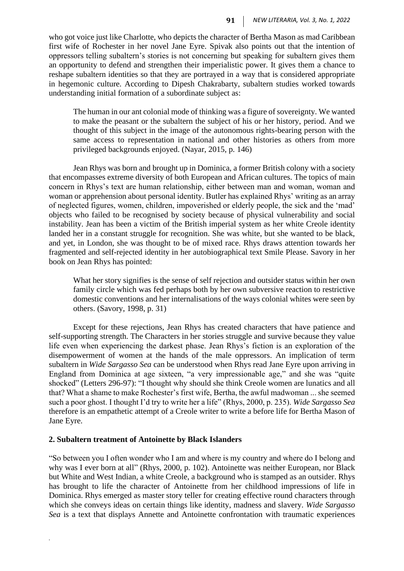who got voice just like Charlotte, who depicts the character of Bertha Mason as mad Caribbean first wife of Rochester in her novel Jane Eyre. Spivak also points out that the intention of oppressors telling subaltern's stories is not concerning but speaking for subaltern gives them an opportunity to defend and strengthen their imperialistic power. It gives them a chance to reshape subaltern identities so that they are portrayed in a way that is considered appropriate in hegemonic culture. According to Dipesh Chakrabarty, subaltern studies worked towards understanding initial formation of a subordinate subject as:

The human in our ant colonial mode of thinking was a figure of sovereignty. We wanted to make the peasant or the subaltern the subject of his or her history, period. And we thought of this subject in the image of the autonomous rights-bearing person with the same access to representation in national and other histories as others from more privileged backgrounds enjoyed. (Nayar, 2015, p. 146)

Jean Rhys was born and brought up in Dominica, a former British colony with a society that encompasses extreme diversity of both European and African cultures. The topics of main concern in Rhys's text are human relationship, either between man and woman, woman and woman or apprehension about personal identity. Butler has explained Rhys' writing as an array of neglected figures, women, children, impoverished or elderly people, the sick and the 'mad' objects who failed to be recognised by society because of physical vulnerability and social instability. Jean has been a victim of the British imperial system as her white Creole identity landed her in a constant struggle for recognition. She was white, but she wanted to be black, and yet, in London, she was thought to be of mixed race. Rhys draws attention towards her fragmented and self-rejected identity in her autobiographical text Smile Please. Savory in her book on Jean Rhys has pointed:

What her story signifies is the sense of self rejection and outsider status within her own family circle which was fed perhaps both by her own subversive reaction to restrictive domestic conventions and her internalisations of the ways colonial whites were seen by others. (Savory, 1998, p. 31)

Except for these rejections, Jean Rhys has created characters that have patience and self-supporting strength. The Characters in her stories struggle and survive because they value life even when experiencing the darkest phase. Jean Rhys's fiction is an exploration of the disempowerment of women at the hands of the male oppressors. An implication of term subaltern in *Wide Sargasso Sea* can be understood when Rhys read Jane Eyre upon arriving in England from Dominica at age sixteen, "a very impressionable age," and she was "quite shocked" (Letters 296-97): "I thought why should she think Creole women are lunatics and all that? What a shame to make Rochester's first wife, Bertha, the awful madwoman ... she seemed such a poor ghost. I thought I'd try to write her a life" (Rhys, 2000, p. 235). *Wide Sargasso Sea* therefore is an empathetic attempt of a Creole writer to write a before life for Bertha Mason of Jane Eyre.

#### **2. Subaltern treatment of Antoinette by Black Islanders**

*.*

"So between you I often wonder who I am and where is my country and where do I belong and why was I ever born at all" (Rhys, 2000, p. 102). Antoinette was neither European, nor Black but White and West Indian, a white Creole, a background who is stamped as an outsider. Rhys has brought to life the character of Antoinette from her childhood impressions of life in Dominica. Rhys emerged as master story teller for creating effective round characters through which she conveys ideas on certain things like identity, madness and slavery. *Wide Sargasso Sea* is a text that displays Annette and Antoinette confrontation with traumatic experiences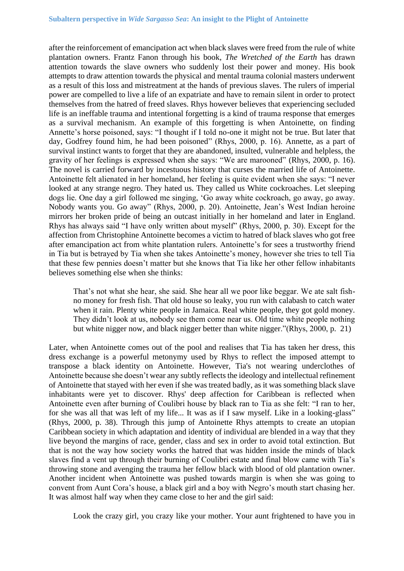after the reinforcement of emancipation act when black slaves were freed from the rule of white plantation owners. Frantz Fanon through his book, *The Wretched of the Earth* has drawn attention towards the slave owners who suddenly lost their power and money. His book attempts to draw attention towards the physical and mental trauma colonial masters underwent as a result of this loss and mistreatment at the hands of previous slaves. The rulers of imperial power are compelled to live a life of an expatriate and have to remain silent in order to protect themselves from the hatred of freed slaves. Rhys however believes that experiencing secluded life is an ineffable trauma and intentional forgetting is a kind of trauma response that emerges as a survival mechanism. An example of this forgetting is when Antoinette, on finding Annette's horse poisoned, says: "I thought if I told no-one it might not be true. But later that day, Godfrey found him, he had been poisoned" (Rhys, 2000, p. 16). Annette, as a part of survival instinct wants to forget that they are abandoned, insulted, vulnerable and helpless, the gravity of her feelings is expressed when she says: "We are marooned" (Rhys, 2000, p. 16). The novel is carried forward by incestuous history that curses the married life of Antoinette. Antoinette felt alienated in her homeland, her feeling is quite evident when she says: "I never looked at any strange negro. They hated us. They called us White cockroaches. Let sleeping dogs lie. One day a girl followed me singing, 'Go away white cockroach, go away, go away. Nobody wants you. Go away" (Rhys, 2000, p. 20). Antoinette, Jean's West Indian heroine mirrors her broken pride of being an outcast initially in her homeland and later in England. Rhys has always said "I have only written about myself" (Rhys, 2000, p. 30). Except for the affection from Christophine Antoinette becomes a victim to hatred of black slaves who got free after emancipation act from white plantation rulers. Antoinette's for sees a trustworthy friend in Tia but is betrayed by Tia when she takes Antoinette's money, however she tries to tell Tia that these few pennies doesn't matter but she knows that Tia like her other fellow inhabitants believes something else when she thinks:

That's not what she hear, she said. She hear all we poor like beggar. We ate salt fishno money for fresh fish. That old house so leaky, you run with calabash to catch water when it rain. Plenty white people in Jamaica. Real white people, they got gold money. They didn't look at us, nobody see them come near us. Old time white people nothing but white nigger now, and black nigger better than white nigger."(Rhys, 2000, p. 21)

Later, when Antoinette comes out of the pool and realises that Tia has taken her dress, this dress exchange is a powerful metonymy used by Rhys to reflect the imposed attempt to transpose a black identity on Antoinette. However, Tia's not wearing underclothes of Antoinette because she doesn't wear any subtly reflects the ideology and intellectual refinement of Antoinette that stayed with her even if she was treated badly, as it was something black slave inhabitants were yet to discover. Rhys' deep affection for Caribbean is reflected when Antoinette even after burning of Coulibri house by black ran to Tia as she felt: "I ran to her, for she was all that was left of my life... It was as if I saw myself. Like in a looking-glass" (Rhys, 2000, p. 38). Through this jump of Antoinette Rhys attempts to create an utopian Caribbean society in which adaptation and identity of individual are blended in a way that they live beyond the margins of race, gender, class and sex in order to avoid total extinction. But that is not the way how society works the hatred that was hidden inside the minds of black slaves find a vent up through their burning of Coulibri estate and final blow came with Tia's throwing stone and avenging the trauma her fellow black with blood of old plantation owner. Another incident when Antoinette was pushed towards margin is when she was going to convent from Aunt Cora's house, a black girl and a boy with Negro's mouth start chasing her. It was almost half way when they came close to her and the girl said:

Look the crazy girl, you crazy like your mother. Your aunt frightened to have you in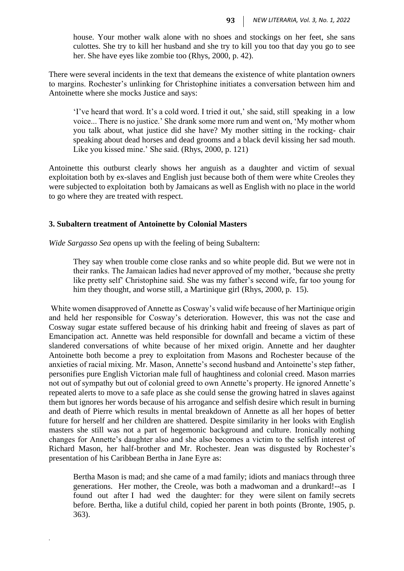house. Your mother walk alone with no shoes and stockings on her feet, she sans culottes. She try to kill her husband and she try to kill you too that day you go to see her. She have eyes like zombie too (Rhys, 2000, p. 42).

There were several incidents in the text that demeans the existence of white plantation owners to margins. Rochester's unlinking for Christophine initiates a conversation between him and Antoinette where she mocks Justice and says:

'I've heard that word. It's a cold word. I tried it out,' she said, still speaking in a low voice... There is no justice.' She drank some more rum and went on, 'My mother whom you talk about, what justice did she have? My mother sitting in the rocking- chair speaking about dead horses and dead grooms and a black devil kissing her sad mouth. Like you kissed mine.' She said. (Rhys, 2000, p. 121)

Antoinette this outburst clearly shows her anguish as a daughter and victim of sexual exploitation both by ex-slaves and English just because both of them were white Creoles they were subjected to exploitation both by Jamaicans as well as English with no place in the world to go where they are treated with respect.

## **3. Subaltern treatment of Antoinette by Colonial Masters**

*.*

*Wide Sargasso Sea* opens up with the feeling of being Subaltern:

They say when trouble come close ranks and so white people did. But we were not in their ranks. The Jamaican ladies had never approved of my mother, 'because she pretty like pretty self' Christophine said. She was my father's second wife, far too young for him they thought, and worse still, a Martinique girl (Rhys, 2000, p. 15).

White women disapproved of Annette as Cosway's valid wife because of her Martinique origin and held her responsible for Cosway's deterioration. However, this was not the case and Cosway sugar estate suffered because of his drinking habit and freeing of slaves as part of Emancipation act. Annette was held responsible for downfall and became a victim of these slandered conversations of white because of her mixed origin. Annette and her daughter Antoinette both become a prey to exploitation from Masons and Rochester because of the anxieties of racial mixing. Mr. Mason, Annette's second husband and Antoinette's step father, personifies pure English Victorian male full of haughtiness and colonial creed. Mason marries not out of sympathy but out of colonial greed to own Annette's property. He ignored Annette's repeated alerts to move to a safe place as she could sense the growing hatred in slaves against them but ignores her words because of his arrogance and selfish desire which result in burning and death of Pierre which results in mental breakdown of Annette as all her hopes of better future for herself and her children are shattered. Despite similarity in her looks with English masters she still was not a part of hegemonic background and culture. Ironically nothing changes for Annette's daughter also and she also becomes a victim to the selfish interest of Richard Mason, her half-brother and Mr. Rochester. Jean was disgusted by Rochester's presentation of his Caribbean Bertha in Jane Eyre as:

Bertha Mason is mad; and she came of a mad family; idiots and maniacs through three generations. Her mother, the Creole, was both a madwoman and a drunkard!--as I found out after I had wed the daughter: for they were silent on family secrets before. Bertha, like a dutiful child, copied her parent in both points (Bronte, 1905, p. 363).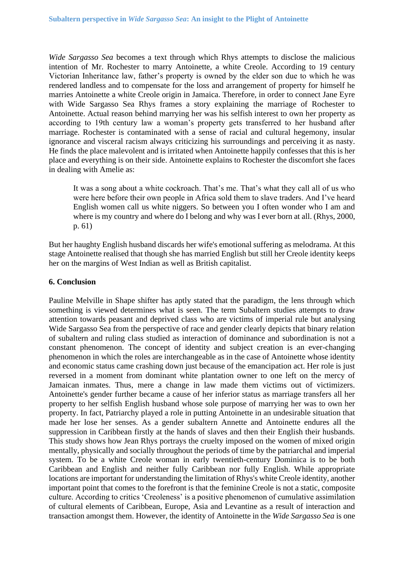*Wide Sargasso Sea* becomes a text through which Rhys attempts to disclose the malicious intention of Mr. Rochester to marry Antoinette, a white Creole. According to 19 century Victorian Inheritance law, father's property is owned by the elder son due to which he was rendered landless and to compensate for the loss and arrangement of property for himself he marries Antoinette a white Creole origin in Jamaica. Therefore, in order to connect Jane Eyre with Wide Sargasso Sea Rhys frames a story explaining the marriage of Rochester to Antoinette. Actual reason behind marrying her was his selfish interest to own her property as according to 19th century law a woman's property gets transferred to her husband after marriage. Rochester is contaminated with a sense of racial and cultural hegemony, insular ignorance and visceral racism always criticizing his surroundings and perceiving it as nasty. He finds the place malevolent and is irritated when Antoinette happily confesses that this is her place and everything is on their side. Antoinette explains to Rochester the discomfort she faces in dealing with Amelie as:

It was a song about a white cockroach. That's me. That's what they call all of us who were here before their own people in Africa sold them to slave traders. And I've heard English women call us white niggers. So between you I often wonder who I am and where is my country and where do I belong and why was I ever born at all. (Rhys, 2000, p. 61)

But her haughty English husband discards her wife's emotional suffering as melodrama. At this stage Antoinette realised that though she has married English but still her Creole identity keeps her on the margins of West Indian as well as British capitalist.

### **6. Conclusion**

Pauline Melville in Shape shifter has aptly stated that the paradigm, the lens through which something is viewed determines what is seen. The term Subaltern studies attempts to draw attention towards peasant and deprived class who are victims of imperial rule but analysing Wide Sargasso Sea from the perspective of race and gender clearly depicts that binary relation of subaltern and ruling class studied as interaction of dominance and subordination is not a constant phenomenon. The concept of identity and subject creation is an ever-changing phenomenon in which the roles are interchangeable as in the case of Antoinette whose identity and economic status came crashing down just because of the emancipation act. Her role is just reversed in a moment from dominant white plantation owner to one left on the mercy of Jamaican inmates. Thus, mere a change in law made them victims out of victimizers. Antoinette's gender further became a cause of her inferior status as marriage transfers all her property to her selfish English husband whose sole purpose of marrying her was to own her property. In fact, Patriarchy played a role in putting Antoinette in an undesirable situation that made her lose her senses. As a gender subaltern Annette and Antoinette endures all the suppression in Caribbean firstly at the hands of slaves and then their English their husbands. This study shows how Jean Rhys portrays the cruelty imposed on the women of mixed origin mentally, physically and socially throughout the periods of time by the patriarchal and imperial system. To be a white Creole woman in early twentieth-century Dominica is to be both Caribbean and English and neither fully Caribbean nor fully English. While appropriate locations are important for understanding the limitation of Rhys's white Creole identity, another important point that comes to the forefront is that the feminine Creole is not a static, composite culture. According to critics 'Creoleness' is a positive phenomenon of cumulative assimilation of cultural elements of Caribbean, Europe, Asia and Levantine as a result of interaction and transaction amongst them. However, the identity of Antoinette in the *Wide Sargasso Sea* is one